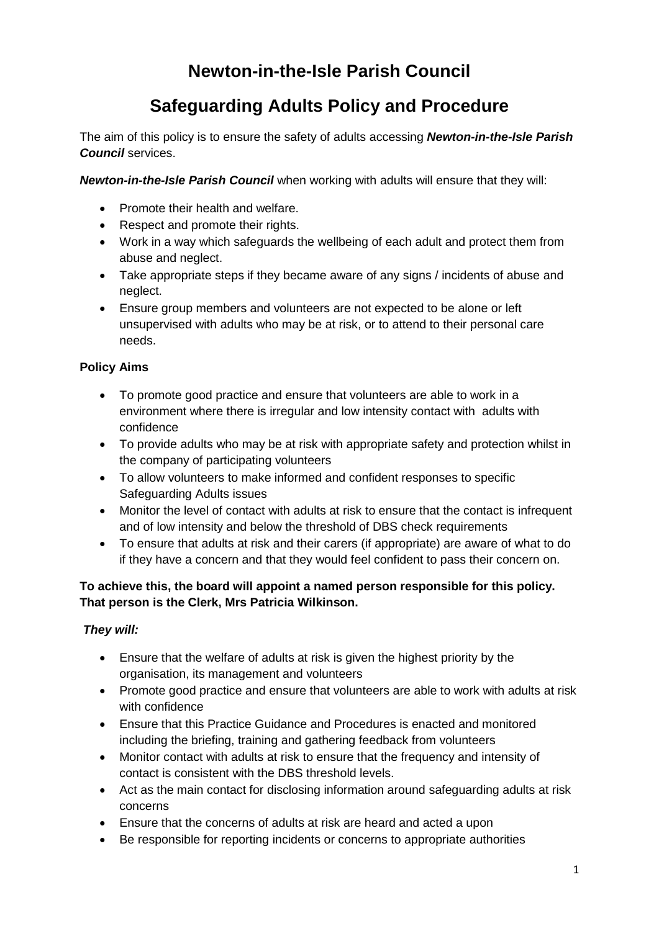# **Newton-in-the-Isle Parish Council**

# **Safeguarding Adults Policy and Procedure**

The aim of this policy is to ensure the safety of adults accessing *Newton-in-the-Isle Parish Council* services.

*Newton-in-the-Isle Parish Council* when working with adults will ensure that they will:

- Promote their health and welfare.
- Respect and promote their rights.
- Work in a way which safeguards the wellbeing of each adult and protect them from abuse and neglect.
- Take appropriate steps if they became aware of any signs / incidents of abuse and neglect.
- Ensure group members and volunteers are not expected to be alone or left unsupervised with adults who may be at risk, or to attend to their personal care needs.

## **Policy Aims**

- To promote good practice and ensure that volunteers are able to work in a environment where there is irregular and low intensity contact with adults with confidence
- To provide adults who may be at risk with appropriate safety and protection whilst in the company of participating volunteers
- To allow volunteers to make informed and confident responses to specific Safeguarding Adults issues
- Monitor the level of contact with adults at risk to ensure that the contact is infrequent and of low intensity and below the threshold of DBS check requirements
- To ensure that adults at risk and their carers (if appropriate) are aware of what to do if they have a concern and that they would feel confident to pass their concern on.

## **To achieve this, the board will appoint a named person responsible for this policy. That person is the Clerk, Mrs Patricia Wilkinson.**

## *They will:*

- Ensure that the welfare of adults at risk is given the highest priority by the organisation, its management and volunteers
- Promote good practice and ensure that volunteers are able to work with adults at risk with confidence
- Ensure that this Practice Guidance and Procedures is enacted and monitored including the briefing, training and gathering feedback from volunteers
- Monitor contact with adults at risk to ensure that the frequency and intensity of contact is consistent with the DBS threshold levels.
- Act as the main contact for disclosing information around safeguarding adults at risk concerns
- Ensure that the concerns of adults at risk are heard and acted a upon
- Be responsible for reporting incidents or concerns to appropriate authorities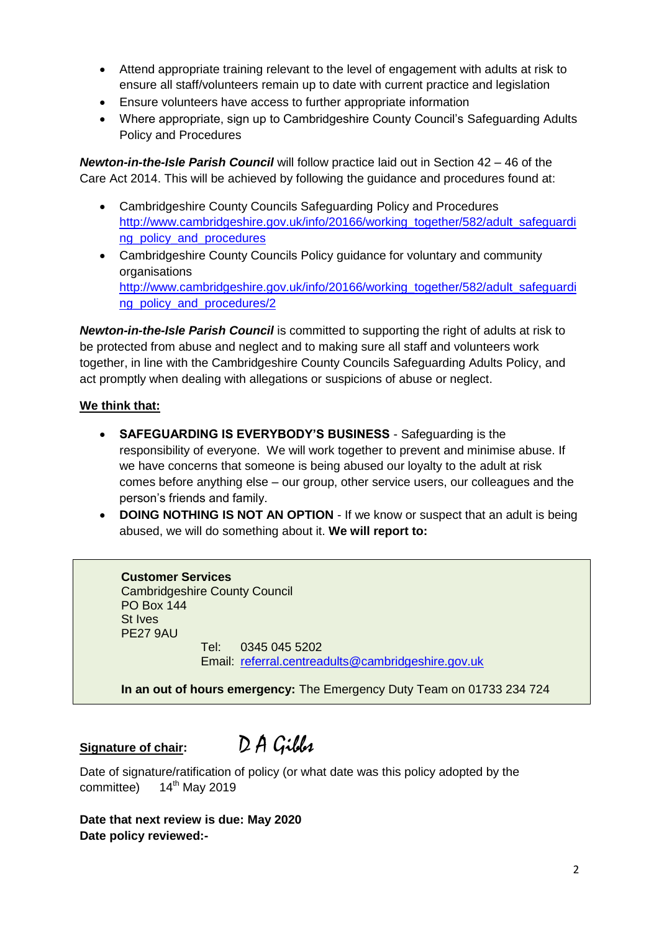- Attend appropriate training relevant to the level of engagement with adults at risk to ensure all staff/volunteers remain up to date with current practice and legislation
- Ensure volunteers have access to further appropriate information
- Where appropriate, sign up to Cambridgeshire County Council's Safeguarding Adults Policy and Procedures

*Newton-in-the-Isle Parish Council* will follow practice laid out in Section 42 – 46 of the Care Act 2014. This will be achieved by following the guidance and procedures found at:

- Cambridgeshire County Councils Safeguarding Policy and Procedures [http://www.cambridgeshire.gov.uk/info/20166/working\\_together/582/adult\\_safeguardi](http://www.cambridgeshire.gov.uk/info/20166/working_together/582/adult_safeguarding_policy_and_procedures) [ng\\_policy\\_and\\_procedures](http://www.cambridgeshire.gov.uk/info/20166/working_together/582/adult_safeguarding_policy_and_procedures)
- Cambridgeshire County Councils Policy guidance for voluntary and community organisations [http://www.cambridgeshire.gov.uk/info/20166/working\\_together/582/adult\\_safeguardi](http://www.cambridgeshire.gov.uk/info/20166/working_together/582/adult_safeguarding_policy_and_procedures/2) [ng\\_policy\\_and\\_procedures/2](http://www.cambridgeshire.gov.uk/info/20166/working_together/582/adult_safeguarding_policy_and_procedures/2)

*Newton-in-the-Isle Parish Council* is committed to supporting the right of adults at risk to be protected from abuse and neglect and to making sure all staff and volunteers work together, in line with the Cambridgeshire County Councils Safeguarding Adults Policy, and act promptly when dealing with allegations or suspicions of abuse or neglect.

### **We think that:**

- **SAFEGUARDING IS EVERYBODY'S BUSINESS** Safeguarding is the responsibility of everyone. We will work together to prevent and minimise abuse. If we have concerns that someone is being abused our loyalty to the adult at risk comes before anything else – our group, other service users, our colleagues and the person's friends and family.
- **DOING NOTHING IS NOT AN OPTION** If we know or suspect that an adult is being abused, we will do something about it. **We will report to:**

**Customer Services**  Cambridgeshire County Council PO Box 144 St Ives PE27 9AU

Tel: 0345 045 5202 Email: [referral.centreadults@cambridgeshire.gov.uk](mailto:referral.centreadults@cambridgeshire.gov.uk)

**In an out of hours emergency:** The Emergency Duty Team on 01733 234 724

**Signature of chair:** D A Gibbs

Date of signature/ratification of policy (or what date was this policy adopted by the committee) 14<sup>th</sup> May 2019

**Date that next review is due: May 2020 Date policy reviewed:-**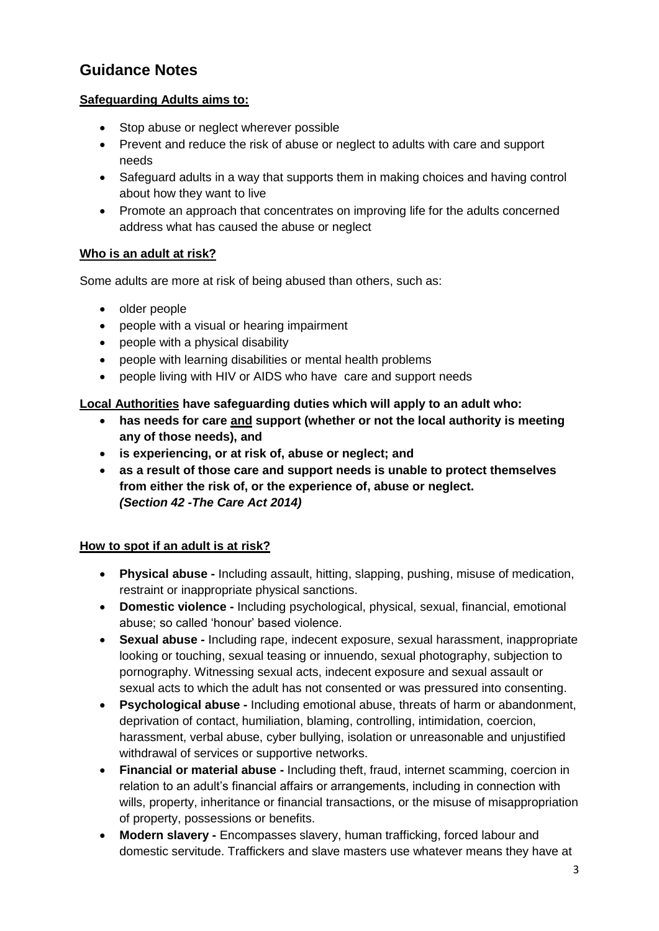## **Guidance Notes**

## **Safeguarding Adults aims to:**

- Stop abuse or neglect wherever possible
- Prevent and reduce the risk of abuse or neglect to adults with care and support needs
- Safeguard adults in a way that supports them in making choices and having control about how they want to live
- Promote an approach that concentrates on improving life for the adults concerned address what has caused the abuse or neglect

## **Who is an adult at risk?**

Some adults are more at risk of being abused than others, such as:

- older people
- people with a visual or hearing impairment
- people with a physical disability
- people with learning disabilities or mental health problems
- people living with HIV or AIDS who have care and support needs

## **Local Authorities have safeguarding duties which will apply to an adult who:**

- **has needs for care and support (whether or not the local authority is meeting any of those needs), and**
- **is experiencing, or at risk of, abuse or neglect; and**
- **as a result of those care and support needs is unable to protect themselves from either the risk of, or the experience of, abuse or neglect.** *(Section 42 -The Care Act 2014)*

## **How to spot if an adult is at risk?**

- **Physical abuse -** Including assault, hitting, slapping, pushing, misuse of medication, restraint or inappropriate physical sanctions.
- **Domestic violence -** Including psychological, physical, sexual, financial, emotional abuse; so called 'honour' based violence.
- **Sexual abuse -** Including rape, indecent exposure, sexual harassment, inappropriate looking or touching, sexual teasing or innuendo, sexual photography, subjection to pornography. Witnessing sexual acts, indecent exposure and sexual assault or sexual acts to which the adult has not consented or was pressured into consenting.
- **Psychological abuse -** Including emotional abuse, threats of harm or abandonment, deprivation of contact, humiliation, blaming, controlling, intimidation, coercion, harassment, verbal abuse, cyber bullying, isolation or unreasonable and unjustified withdrawal of services or supportive networks.
- **Financial or material abuse -** Including theft, fraud, internet scamming, coercion in relation to an adult's financial affairs or arrangements, including in connection with wills, property, inheritance or financial transactions, or the misuse of misappropriation of property, possessions or benefits.
- **Modern slavery -** Encompasses slavery, human trafficking, forced labour and domestic servitude. Traffickers and slave masters use whatever means they have at